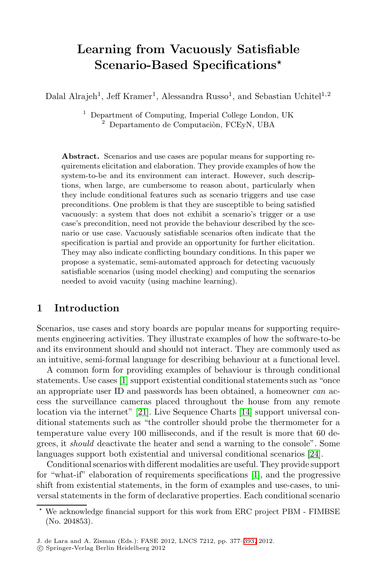# **Learning from Vacuously Satisfiable Scenario-Based Specifications***-*

Dalal Alrajeh<sup>1</sup>, Jeff Kramer<sup>1</sup>, Alessandra Russo<sup>1</sup>, and Sebastian Uchitel<sup>1,2</sup>

<sup>1</sup> Department of Computing, Imperial College London, UK  $<sup>2</sup>$  Departamento de Computación, FCEyN, UBA</sup>

**Abstract.** Scenarios and use cases are popular means for supporting requirements elicitation and elaboration. They provide examples of how the system-to-be and its environment can interact. However, such descriptions, when large, are cumbersome to reason about, particularly when they include conditional features such as scenario triggers and use case preconditions. One problem is that they are susceptible to being satisfied vacuously: a system that does not exhibit a scenario's trigger or a use case's precondition, need not provide the behaviour described by the scenario or use case. Vacuously satisfiable scenarios often indicate that the specification is partial and provide an opportunity for further elicitation. They may also indicate conflicting boundary conditions. In this paper we propose a systematic, semi-automated approach for detecting vacuously satisfiable scenarios (using model checking) and computing the scenarios needed to avoid vacuity (using machine learning).

## **1 Introduction**

Scenarios, use cases and story boards are popular means for supporting requirements engineering activities. They illustrate examples of how the software-to-be and its environment should and should not interact. They are commonly used as an intuitive, semi-formal language for describing behaviour at a functional level.

A common form for providing examples of behaviour is through conditional statements. Use cases [\[1\]](#page-15-0) support existential conditional statements such as "once an appropriate user ID and passwords has been obtained, a homeowner *can* access the surveillance cameras placed throughout the house from any remote location via the internet" [\[21\]](#page-16-0). Live Sequence Charts [\[14\]](#page-16-1) support universal conditional statements such as "the controller should probe the thermometer for a temperature value every 100 milliseconds, and if the result is more that 60 degrees, it *should* deactivate the heater and send a warning to the console". Some languages support both existential and universal conditional scenarios [\[24\]](#page-16-2).

Conditional scenarios with different modalities are useful. They provide support for "what-if" elaboration of requirements specifications [\[1\]](#page-15-0), and the progressive shift from existential statements, in the form of examples and use-cases, to universal statements in the form of declarative properties. Each conditional scenario

<sup>-</sup> We acknowledge financial support for this work from ERC project PBM - FIMBSE (No. 204853).

<sup>-</sup>c Springer-Verlag Berlin Heidelberg 2012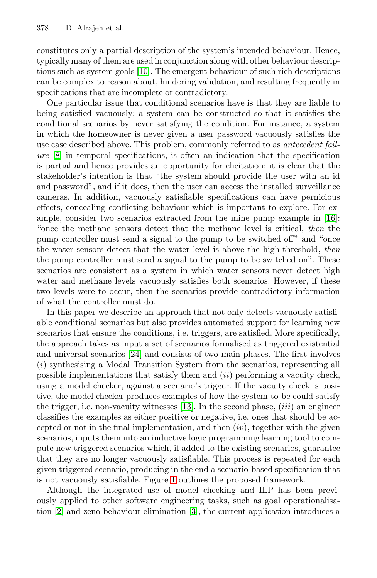constitutes only a partial description of the system's intended behaviour. Hence, typically many of them are used in conjunction along with other behaviour descriptions such as system goals [\[10\]](#page-15-1). The emergent behaviour of such rich descriptions can be complex to reason about, hindering validation, and resulting frequently in specifications that are incomplete or contradictory.

One particular issue that conditional scenarios have is that they are liable to being satisfied vacuously; a system can be constructed so that it satisfies the conditional scenarios by never satisfying the condition. For instance, a system in which the homeowner is never given a user password vacuously satisfies the use case described above. This problem, commonly referred to as *antecedent failure* [\[8\]](#page-15-2) in temporal specifications, is often an indication that the specification is partial and hence provides an opportunity for elicitation; it is clear that the stakeholder's intention is that "the system should provide the user with an id and password", and if it does, then the user can access the installed surveillance cameras. In addition, vacuously satisfiable specifications can have pernicious effects, concealing conflicting behaviour which is important to explore. For example, consider two scenarios extracted from the mine pump example in [\[16\]](#page-16-4): "once the methane sensors detect that the methane level is critical, *then* the pump controller must send a signal to the pump to be switched off" and "once the water sensors detect that the water level is above the high-threshold, *then* the pump controller must send a signal to the pump to be switched on". These scenarios are consistent as a system in which water sensors never detect high water and methane levels vacuously satisfies both scenarios. However, if these two levels were to occur, then the scenarios provide contradictory information of what the controller must do.

In this paper we describe an approach that not only detects vacuously satisfiable conditional scenarios but also provides automated support for learning new scenarios that ensure the conditions, i.e. triggers, are satisfied. More specifically, the approach takes as input a set of scenarios formalised as triggered existential and universal scenarios [\[24\]](#page-16-2) and consists of two main phases. The first involves (i) synthesising a Modal Transition System from the scenarios, representing all possible implementations that satisfy them and  $(ii)$  performing a vacuity check, using a model checker, against a scenario's trigger. If the vacuity check is positive, the model checker produces examples of how the system-to-be could satisfy the trigger, i.e. non-vacuity witnesses  $[13]$ . In the second phase,  $(iii)$  an engineer classifies the examples as either positive or negative, i.e. ones that should be accepted or not in the final implementation, and then  $(iv)$ , together with the given scenarios, inputs them into an inductive logic programming learning tool to compute new triggered scenarios which, if added to the existing scenarios, guarantee that they are no longer vacuously satisfiable. This process is repeated for each given triggered scenario, producing in the end a scenario-based specification that is not vacuously satisfiable. Figure [1](#page-2-0) outlines the proposed framework.

Although the integrated use of model checking and ILP has been previously applied to other software engineering tasks, such as goal operationalisation [\[2\]](#page-15-3) and zeno behaviour elimination [\[3\]](#page-15-4), the current application introduces a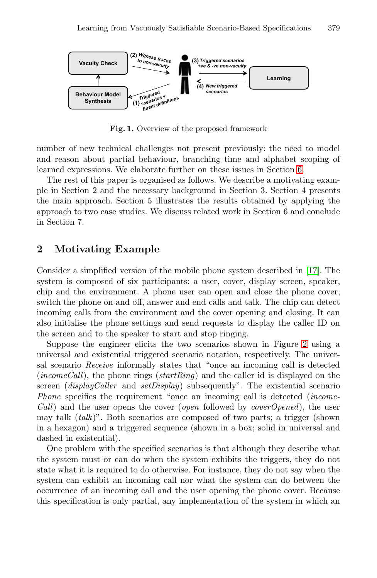

<span id="page-2-0"></span>**Fig. 1.** Overview of the proposed framework

number of new technical challenges not present previously: the need to model and reason about partial behaviour, branching time and alphabet scoping of learned expressions. We elaborate further on these issues in Section [6.](#page-14-0)

The rest of this paper is organised as follows. We describe a motivating example in Section 2 and the necessary background in Section 3. Section 4 presents the main approach. Section 5 illustrates the results obtained by applying the approach to two case studies. We discuss related work in Section 6 and conclude in Section 7.

## **2 Motivating Example**

Consider a simplified version of the mobile phone system described in [\[17\]](#page-16-6). The system is composed of six participants: a user, cover, display screen, speaker, chip and the environment. A phone user can open and close the phone cover, switch the phone on and off, answer and end calls and talk. The chip can detect incoming calls from the environment and the cover opening and closing. It can also initialise the phone settings and send requests to display the caller ID on the screen and to the speaker to start and stop ringing.

Suppose the engineer elicits the two scenarios shown in Figure [2](#page-3-0) using a universal and existential triggered scenario notation, respectively. The universal scenario *Receive* informally states that "once an incoming call is detected (*incomeCall*), the phone rings (*startRing*) and the caller id is displayed on the screen (*displayCaller* and *setDisplay*) subsequently". The existential scenario *Phone* specifies the requirement "once an incoming call is detected (*income-Call*) and the user opens the cover (*open* followed by *coverOpened*), the user may talk (*talk*)". Both scenarios are composed of two parts; a trigger (shown in a hexagon) and a triggered sequence (shown in a box; solid in universal and dashed in existential).

One problem with the specified scenarios is that although they describe what the system must or can do when the system exhibits the triggers, they do not state what it is required to do otherwise. For instance, they do not say when the system can exhibit an incoming call nor what the system can do between the occurrence of an incoming call and the user opening the phone cover. Because this specification is only partial, any implementation of the system in which an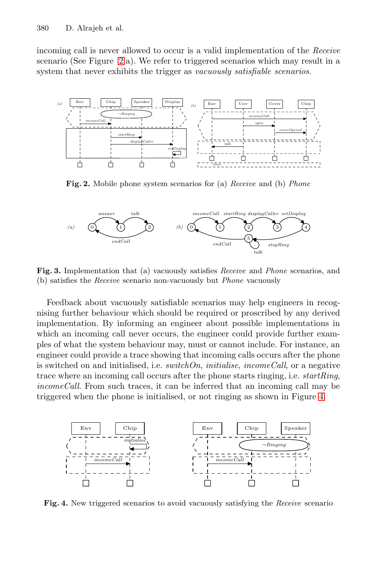incoming call is never allowed to occur is a valid implementation of the *Receive* scenario (See Figure [2.](#page-3-0)a). We refer to triggered scenarios which may result in a system that never exhibits the trigger as *vacuously satisfiable scenarios*.



<span id="page-3-2"></span><span id="page-3-0"></span>**Fig. 2.** Mobile phone system scenarios for (a) *Receive* and (b) *Phone*



**Fig. 3.** Implementation that (a) vacuously satisfies *Receive* and *Phone* scenarios, and (b) satisfies the *Receive* scenario non-vacuously but *Phone* vacuously

Feedback about vacuously satisfiable scenarios may help engineers in recognising further behaviour which should be required or proscribed by any derived implementation. By informing an engineer about possible implementations in which an incoming call never occurs, the engineer could provide further examples of what the system behaviour may, must or cannot include. For instance, an engineer could provide a trace showing that incoming calls occurs after the phone is switched on and initialised, i.e. *switchOn*, *initialise*, *incomeCall*, or a negative trace where an incoming call occurs after the phone starts ringing, i.e. *startRing*, *incomeCall*. From such traces, it can be inferred that an incoming call may be triggered when the phone is initialised, or not ringing as shown in Figure [4.](#page-3-1)

<span id="page-3-1"></span>

**Fig. 4.** New triggered scenarios to avoid vacuously satisfying the *Receive* scenario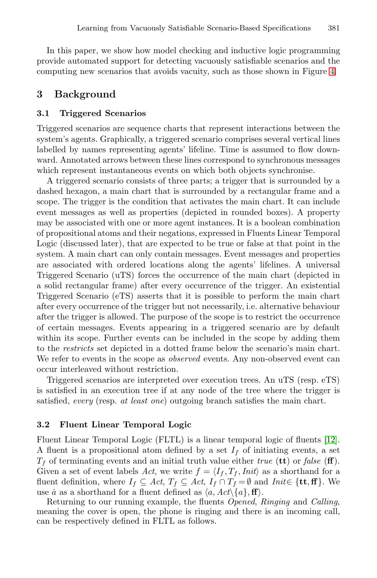In this paper, we show how model checking and inductive logic programming provide automated support for detecting vacuously satisfiable scenarios and the computing new scenarios that avoids vacuity, such as those shown in Figure [4.](#page-3-1)

### **3 Background**

#### **3.1 Triggered Scenarios**

Triggered scenarios are sequence charts that represent interactions between the system's agents. Graphically, a triggered scenario comprises several vertical lines labelled by names representing agents' lifeline. Time is assumed to flow downward. Annotated arrows between these lines correspond to synchronous messages which represent instantaneous events on which both objects synchronise.

A triggered scenario consists of three parts; a trigger that is surrounded by a dashed hexagon, a main chart that is surrounded by a rectangular frame and a scope. The trigger is the condition that activates the main chart. It can include event messages as well as properties (depicted in rounded boxes). A property may be associated with one or more agent instances. It is a boolean combination of propositional atoms and their negations, expressed in Fluents Linear Temporal Logic (discussed later), that are expected to be true or false at that point in the system. A main chart can only contain messages. Event messages and properties are associated with ordered locations along the agents' lifelines. A universal Triggered Scenario (uTS) forces the occurrence of the main chart (depicted in a solid rectangular frame) after every occurrence of the trigger. An existential Triggered Scenario (eTS) asserts that it is possible to perform the main chart after every occurrence of the trigger but not necessarily, i.e. alternative behaviour after the trigger is allowed. The purpose of the scope is to restrict the occurrence of certain messages. Events appearing in a triggered scenario are by default within its scope. Further events can be included in the scope by adding them to the *restricts* set depicted in a dotted frame below the scenario's main chart. We refer to events in the scope as *observed* events. Any non-observed event can occur interleaved without restriction.

Triggered scenarios are interpreted over execution trees. An uTS (resp. eTS) is satisfied in an execution tree if at any node of the tree where the trigger is satisfied, *every* (resp. *at least one*) outgoing branch satisfies the main chart.

#### **3.2 Fluent Linear Temporal Logic**

Fluent Linear Temporal Logic (FLTL) is a linear temporal logic of fluents [\[12\]](#page-16-7). A fluent is a propositional atom defined by a set  $I_f$  of initiating events, a set <sup>T</sup>*<sup>f</sup>* of terminating events and an initial truth value either *true* (**tt**) or *false* (**ff**). Given a set of event labels *Act*, we write  $f = \langle I_f, T_f, Init \rangle$  as a shorthand for a fluent definition, where  $I_f \subset Act \mathcal{T}_f \subset Act \mathcal{T}_f \cap \mathcal{T}_f = \emptyset$  and  $Init \in \mathcal{T}_f$  **ff** We fluent definition, where  $I_f \subseteq Act$ ,  $T_f \subseteq Act$ ,  $I_f \cap T_f = \emptyset$  and  $Init \in \{\textbf{tt}, \textbf{ff}\}\$ . We use  $\dot{a}$  as a shorthand for a fluent defined as  $\langle a, Act \rangle \{a\}, \mathbf{f}\rangle$ .<br>Returning to our running example the fluents *Opened* 1

Returning to our running example, the fluents *Opened*, *Ringing* and *Calling*, meaning the cover is open, the phone is ringing and there is an incoming call, can be respectively defined in FLTL as follows.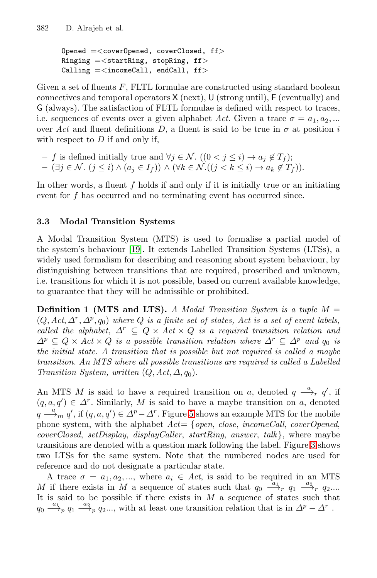382 D. Alrajeh et al.

Opened  $=$ <coverOpened, coverClosed, ff> Ringing  $=$ <startRing, stopRing, ff> Calling  $=$ <incomeCall, endCall,  $ff$ 

Given a set of fluents  $F$ , FLTL formulae are constructed using standard boolean connectives and temporal operators  $X$  (next), U (strong until), F (eventually) and G (always). The satisfaction of FLTL formulae is defined with respect to traces, i.e. sequences of events over a given alphabet *Act*. Given a trace  $\sigma = a_1, a_2, ...$ over *Act* and fluent definitions D, a fluent is said to be true in  $\sigma$  at position i with respect to  $D$  if and only if,

- f is defined initially true and 
$$
\forall j \in \mathcal{N}
$$
.  $((0 \lt j \le i) \rightarrow a_j \notin T_f)$ ;  
-  $(\exists j \in \mathcal{N}$ .  $(j \le i) \land (a_j \in I_f)) \land (\forall k \in \mathcal{N}$ .  $((j \lt k \le i) \rightarrow a_k \notin T_f))$ .

In other words, a fluent  $f$  holds if and only if it is initially true or an initiating event for f has occurred and no terminating event has occurred since.

## **3.3 Modal Transition Systems**

A Modal Transition System (MTS) is used to formalise a partial model of the system's behaviour [\[19\]](#page-16-8). It extends Labelled Transition Systems (LTSs), a widely used formalism for describing and reasoning about system behaviour, by distinguishing between transitions that are required, proscribed and unknown, i.e. transitions for which it is not possible, based on current available knowledge, to guarantee that they will be admissible or prohibited.

**Definition 1 (MTS and LTS).** *A Modal Transition System is a tuple* M <sup>=</sup>  $(Q, Act, \Delta^r, \Delta^p, q_0)$  where  $Q$  *is a finite set of states, Act is a set of event labels, called the alphabet,*  $\Delta^r \subseteq Q \times Act \times Q$  *is a required transition relation and*  $\Delta^p \subseteq Q \times Act \times Q$  *is a possible transition relation where*  $\Delta^r \subseteq \Delta^p$  *and*  $q_0$  *is the initial state. A transition that is possible but not required is called a maybe transition. An MTS where all possible transitions are required is called a Labelled Transition System, written*  $(Q, Act, \Delta, q_0)$ *.* 

An MTS M is said to have a required transition on a, denoted  $q \frac{a}{r} r q'$ , if  $(a, a, a') \in A^r$  Similarly M is said to have a may be transition on a denoted  $(q, a, q') \in \Delta^r$ . Similarly, M is said to have a maybe transition on a, denoted  $q \stackrel{a}{\longrightarrow} m q'$ , if  $(q, a, q') \in \Delta^p - \Delta^r$ . Figure [5](#page-6-0) shows an example MTS for the mobile phone system, with the alphabet  $Act - L$  aren, close, income Call, cover Opened phone system, with the alphabet *Act*= {*open*, *close*, *incomeCall*, *coverOpened*, *coverClosed*, *setDisplay*, *displayCaller*, *startRing*, *answer*, *talk*}, where maybe transitions are denoted with a question mark following the label. Figure [3](#page-3-2) shows two LTSs for the same system. Note that the numbered nodes are used for reference and do not designate a particular state.

A trace  $\sigma = a_1, a_2, \dots$ , where  $a_i \in Act$ , is said to be required in an MTS M if there exists in M a sequence of states such that  $q_0 \frac{a_1}{\sigma}$   $q_1 \frac{a_2}{\sigma}$   $q_2 \dots$ <br>It is said to be possible if there exists in M a sequence of states such that It is said to be possible if there exists in  $M$  a sequence of states such that  $q_0 \stackrel{a_1}{\longrightarrow}_p q_1 \stackrel{a_2}{\longrightarrow}_p q_2...$ , with at least one transition relation that is in  $\Delta^p - \Delta^r$ .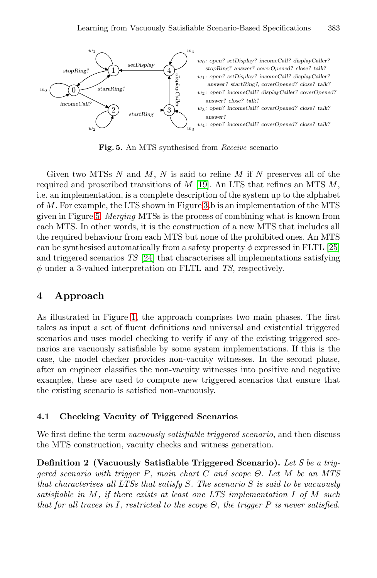

<span id="page-6-0"></span>**Fig. 5.** An MTS synthesised from *Receive* scenario

Given two MTSs  $N$  and  $M$ ,  $N$  is said to refine  $M$  if  $N$  preserves all of the required and proscribed transitions of  $M$  [\[19\]](#page-16-8). An LTS that refines an MTS  $M$ , i.e. an implementation, is a complete description of the system up to the alphabet of M. For example, the LTS shown in Figure [3.](#page-3-2)b is an implementation of the MTS given in Figure [5.](#page-6-0) *Merging* MTSs is the process of combining what is known from each MTS. In other words, it is the construction of a new MTS that includes all the required behaviour from each MTS but none of the prohibited ones. An MTS can be synthesised automatically from a safety property  $\phi$  expressed in FLTL [\[25\]](#page-16-9) and triggered scenarios *TS* [\[24\]](#page-16-2) that characterises all implementations satisfying φ under a 3-valued interpretation on FLTL and *TS*, respectively.

### **4 Approach**

As illustrated in Figure [1,](#page-2-0) the approach comprises two main phases. The first takes as input a set of fluent definitions and universal and existential triggered scenarios and uses model checking to verify if any of the existing triggered scenarios are vacuously satisfiable by some system implementations. If this is the case, the model checker provides non-vacuity witnesses. In the second phase, after an engineer classifies the non-vacuity witnesses into positive and negative examples, these are used to compute new triggered scenarios that ensure that the existing scenario is satisfied non-vacuously.

#### **4.1 Checking Vacuity of Triggered Scenarios**

We first define the term *vacuously satisfiable triggered scenario*, and then discuss the MTS construction, vacuity checks and witness generation.

**Definition 2 (Vacuously Satisfiable Triggered Scenario).** *Let S be a triggered scenario with trigger* P*, main chart* C *and scope* Θ*. Let* M *be an MTS that characterises all LTSs that satisfy* S*. The scenario* S *is said to be vacuously satisfiable in* M*, if there exists at least one LTS implementation* I *of* M *such that for all traces in* I*, restricted to the scope* Θ*, the trigger* P *is never satisfied.*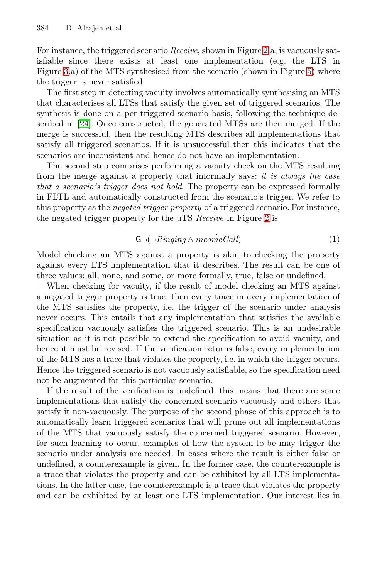For instance, the triggered scenario *Receive*, shown in Figure [2.](#page-3-0)a, is vacuously satisfiable since there exists at least one implementation (e.g. the LTS in Figure [3.](#page-3-2)a) of the MTS synthesised from the scenario (shown in Figure [5\)](#page-6-0) where the trigger is never satisfied.

The first step in detecting vacuity involves automatically synthesising an MTS that characterises all LTSs that satisfy the given set of triggered scenarios. The synthesis is done on a per triggered scenario basis, following the technique described in [\[24\]](#page-16-2). Once constructed, the generated MTSs are then merged. If the merge is successful, then the resulting MTS describes all implementations that satisfy all triggered scenarios. If it is unsuccessful then this indicates that the scenarios are inconsistent and hence do not have an implementation.

<span id="page-7-0"></span>The second step comprises performing a vacuity check on the MTS resulting from the merge against a property that informally says: *it is always the case that a scenario's trigger does not hold*. The property can be expressed formally in FLTL and automatically constructed from the scenario's trigger. We refer to this property as the *negated trigger property* of a triggered scenario. For instance, the negated trigger property for the uTS *Receive* in Figure [2](#page-3-0) is

$$
G \neg(\neg Ringing \land incomeCall) \tag{1}
$$

Model checking an MTS against a property is akin to checking the property against every LTS implementation that it describes. The result can be one of three values: all, none, and some, or more formally, true, false or undefined.

When checking for vacuity, if the result of model checking an MTS against a negated trigger property is true, then every trace in every implementation of the MTS satisfies the property, i.e. the trigger of the scenario under analysis never occurs. This entails that any implementation that satisfies the available specification vacuously satisfies the triggered scenario. This is an undesirable situation as it is not possible to extend the specification to avoid vacuity, and hence it must be revised. If the verification returns false, every implementation of the MTS has a trace that violates the property, i.e. in which the trigger occurs. Hence the triggered scenario is not vacuously satisfiable, so the specification need not be augmented for this particular scenario.

If the result of the verification is undefined, this means that there are some implementations that satisfy the concerned scenario vacuously and others that satisfy it non-vacuously. The purpose of the second phase of this approach is to automatically learn triggered scenarios that will prune out all implementations of the MTS that vacuously satisfy the concerned triggered scenario. However, for such learning to occur, examples of how the system-to-be may trigger the scenario under analysis are needed. In cases where the result is either false or undefined, a counterexample is given. In the former case, the counterexample is a trace that violates the property and can be exhibited by all LTS implementations. In the latter case, the counterexample is a trace that violates the property and can be exhibited by at least one LTS implementation. Our interest lies in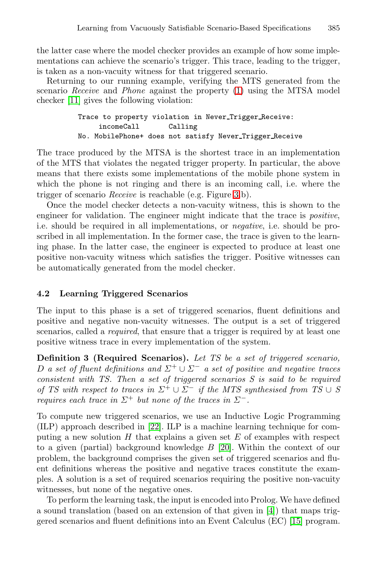the latter case where the model checker provides an example of how some implementations can achieve the scenario's trigger. This trace, leading to the trigger, is taken as a non-vacuity witness for that triggered scenario.

Returning to our running example, verifying the MTS generated from the scenario *Receive* and *Phone* against the property [\(1\)](#page-7-0) using the MTSA model checker [\[11\]](#page-16-10) gives the following violation:

#### Trace to property violation in Never Trigger Receive: incomeCall Calling No. MobilePhone+ does not satisfy Never Trigger Receive

The trace produced by the MTSA is the shortest trace in an implementation of the MTS that violates the negated trigger property. In particular, the above means that there exists some implementations of the mobile phone system in which the phone is not ringing and there is an incoming call, i.e. where the trigger of scenario *Receive* is reachable (e.g. Figure [3.](#page-3-2)b).

Once the model checker detects a non-vacuity witness, this is shown to the engineer for validation. The engineer might indicate that the trace is *positive*, i.e. should be required in all implementations, or *negative*, i.e. should be proscribed in all implementation. In the former case, the trace is given to the learning phase. In the latter case, the engineer is expected to produce at least one positive non-vacuity witness which satisfies the trigger. Positive witnesses can be automatically generated from the model checker.

#### **4.2 Learning Triggered Scenarios**

The input to this phase is a set of triggered scenarios, fluent definitions and positive and negative non-vacuity witnesses. The output is a set of triggered scenarios, called a *required*, that ensure that a trigger is required by at least one positive witness trace in every implementation of the system.

**Definition 3 (Required Scenarios).** *Let TS be a set of triggered scenario,* D *a set of fluent definitions and* Σ<sup>+</sup> <sup>∪</sup> <sup>Σ</sup><sup>−</sup> *a set of positive and negative traces consistent with TS. Then a set of triggered scenarios S is said to be required of TS with respect to traces in*  $\Sigma^+ \cup \Sigma^-$  *if the MTS synthesised from TS*  $\cup$  *S requires each trace in*  $\Sigma^+$  *but none of the traces in*  $\Sigma^-$ *.* 

To compute new triggered scenarios, we use an Inductive Logic Programming (ILP) approach described in [\[22\]](#page-16-11). ILP is a machine learning technique for computing a new solution  $H$  that explains a given set  $E$  of examples with respect to a given (partial) background knowledge B [\[20\]](#page-16-12). Within the context of our problem, the background comprises the given set of triggered scenarios and fluent definitions whereas the positive and negative traces constitute the examples. A solution is a set of required scenarios requiring the positive non-vacuity witnesses, but none of the negative ones.

To perform the learning task, the input is encoded into Prolog. We have defined a sound translation (based on an extension of that given in [\[4\]](#page-15-5)) that maps triggered scenarios and fluent definitions into an Event Calculus (EC) [\[15\]](#page-16-13) program.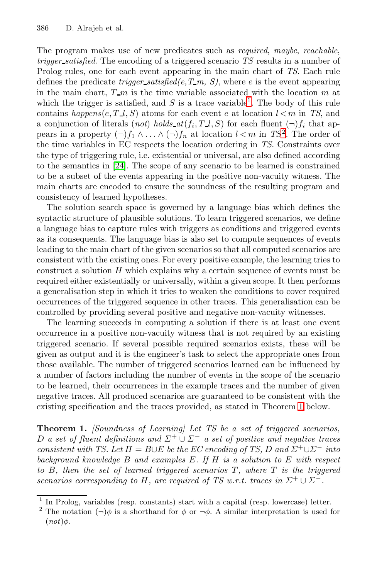The program makes use of new predicates such as *required*, *maybe*, *reachable*, *trigger satisfied*. The encoding of a triggered scenario *TS* results in a number of Prolog rules, one for each event appearing in the main chart of *TS*. Each rule defines the predicate *trigger* satisfied(e,  $T_m$ ,  $S$ ), where e is the event appearing in the main chart,  $T_{-}m$  is the time variable associated with the location  $m$  at which the trigger is satisfied, and S is a trace variable<sup>[1](#page-9-0)</sup>. The body of this rule contains *happens*(e,  $T_l, S$ ) atoms for each event e at location  $l \lt m$  in *TS*, and a conjunction of literals (*not*) *holds*  $at(f_i, T_l, S)$  for each fluent  $(\neg)f_i$  that appears in a property  $(\neg)f_1 \wedge \ldots \wedge (\neg)f_n$  at location  $l < m$  in *TS*<sup>[2](#page-9-1)</sup>. The order of the time variables in EC respects the location ordering in *TS*. Constraints over the type of triggering rule, i.e. existential or universal, are also defined according to the semantics in [\[24\]](#page-16-2). The scope of any scenario to be learned is constrained to be a subset of the events appearing in the positive non-vacuity witness. The main charts are encoded to ensure the soundness of the resulting program and consistency of learned hypotheses.

The solution search space is governed by a language bias which defines the syntactic structure of plausible solutions. To learn triggered scenarios, we define a language bias to capture rules with triggers as conditions and triggered events as its consequents. The language bias is also set to compute sequences of events leading to the main chart of the given scenarios so that all computed scenarios are consistent with the existing ones. For every positive example, the learning tries to construct a solution  $H$  which explains why a certain sequence of events must be required either existentially or universally, within a given scope. It then performs a generalisation step in which it tries to weaken the conditions to cover required occurrences of the triggered sequence in other traces. This generalisation can be controlled by providing several positive and negative non-vacuity witnesses.

<span id="page-9-2"></span>The learning succeeds in computing a solution if there is at least one event occurrence in a positive non-vacuity witness that is not required by an existing triggered scenario. If several possible required scenarios exists, these will be given as output and it is the engineer's task to select the appropriate ones from those available. The number of triggered scenarios learned can be influenced by a number of factors including the number of events in the scope of the scenario to be learned, their occurrences in the example traces and the number of given negative traces. All produced scenarios are guaranteed to be consistent with the existing specification and the traces provided, as stated in Theorem [1](#page-9-2) below.

<span id="page-9-1"></span><span id="page-9-0"></span>**Theorem 1.** *[Soundness of Learning] Let TS be a set of triggered scenarios,* D *a set of fluent definitions and*  $\Sigma^+ \cup \Sigma^-$  *a set of positive and negative traces consistent with TS. Let*  $\Pi = B \cup E$  *be the EC encoding of TS, D and*  $\Sigma^+ \cup \Sigma^-$  *into background knowledge* B *and examples* E*. If* H *is a solution to* E *with respect to* B, then the set of learned triggered scenarios T, where T is the triggered *scenarios corresponding to* H, are required of TS w.r.t. traces in  $\Sigma^+ \cup \Sigma^-$ .

<sup>1</sup> In Prolog, variables (resp. constants) start with a capital (resp. lowercase) letter.

<sup>&</sup>lt;sup>2</sup> The notation  $(\neg)\phi$  is a shorthand for  $\phi$  or  $\neg\phi$ . A similar interpretation is used for  $(not)\phi$ .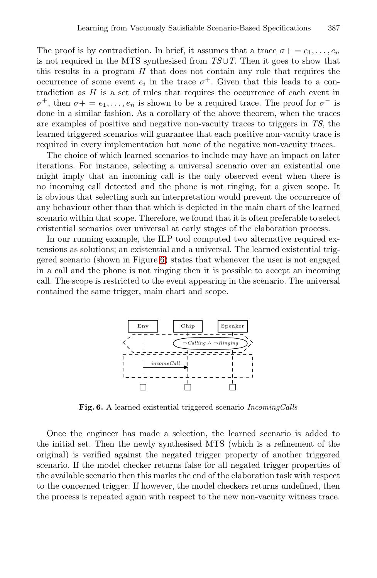The proof is by contradiction. In brief, it assumes that a trace  $\sigma + e_1, \ldots, e_n$ is not required in the MTS synthesised from *TS*∪*T*. Then it goes to show that this results in a program  $\Pi$  that does not contain any rule that requires the occurrence of some event  $e_i$  in the trace  $\sigma^+$ . Given that this leads to a contradiction as  $H$  is a set of rules that requires the occurrence of each event in  $\sigma^+$ , then  $\sigma^+ = e_1, \ldots, e_n$  is shown to be a required trace. The proof for  $\sigma^-$  is done in a similar fashion. As a corollary of the above theorem, when the traces are examples of positive and negative non-vacuity traces to triggers in *TS*, the learned triggered scenarios will guarantee that each positive non-vacuity trace is required in every implementation but none of the negative non-vacuity traces.

The choice of which learned scenarios to include may have an impact on later iterations. For instance, selecting a universal scenario over an existential one might imply that an incoming call is the only observed event when there is no incoming call detected and the phone is not ringing, for a given scope. It is obvious that selecting such an interpretation would prevent the occurrence of any behaviour other than that which is depicted in the main chart of the learned scenario within that scope. Therefore, we found that it is often preferable to select existential scenarios over universal at early stages of the elaboration process.

In our running example, the ILP tool computed two alternative required extensions as solutions; an existential and a universal. The learned existential triggered scenario (shown in Figure [6\)](#page-10-0) states that whenever the user is not engaged in a call and the phone is not ringing then it is possible to accept an incoming call. The scope is restricted to the event appearing in the scenario. The universal contained the same trigger, main chart and scope.

<span id="page-10-0"></span>

**Fig. 6.** A learned existential triggered scenario *IncomingCalls*

Once the engineer has made a selection, the learned scenario is added to the initial set. Then the newly synthesised MTS (which is a refinement of the original) is verified against the negated trigger property of another triggered scenario. If the model checker returns false for all negated trigger properties of the available scenario then this marks the end of the elaboration task with respect to the concerned trigger. If however, the model checkers returns undefined, then the process is repeated again with respect to the new non-vacuity witness trace.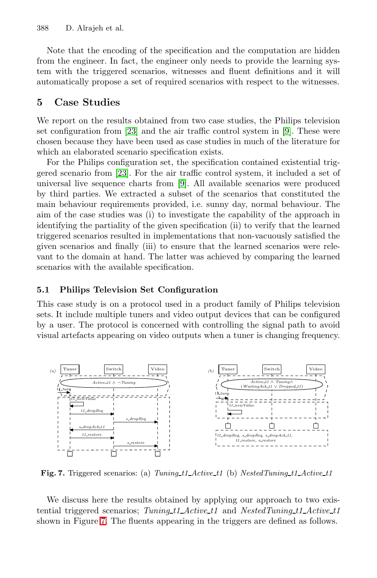Note that the encoding of the specification and the computation are hidden from the engineer. In fact, the engineer only needs to provide the learning system with the triggered scenarios, witnesses and fluent definitions and it will automatically propose a set of required scenarios with respect to the witnesses.

## **5 Case Studies**

We report on the results obtained from two case studies, the Philips television set configuration from [\[23\]](#page-16-14) and the air traffic control system in [\[9\]](#page-15-6). These were chosen because they have been used as case studies in much of the literature for which an elaborated scenario specification exists.

For the Philips configuration set, the specification contained existential triggered scenario from [\[23\]](#page-16-14). For the air traffic control system, it included a set of universal live sequence charts from [\[9\]](#page-15-6). All available scenarios were produced by third parties. We extracted a subset of the scenarios that constituted the main behaviour requirements provided, i.e. sunny day, normal behaviour. The aim of the case studies was (i) to investigate the capability of the approach in identifying the partiality of the given specification (ii) to verify that the learned triggered scenarios resulted in implementations that non-vacuously satisfied the given scenarios and finally (iii) to ensure that the learned scenarios were relevant to the domain at hand. The latter was achieved by comparing the learned scenarios with the available specification.

## **5.1 Philips Television Set Configuration**

This case study is on a protocol used in a product family of Philips television sets. It include multiple tuners and video output devices that can be configured by a user. The protocol is concerned with controlling the signal path to avoid visual artefacts appearing on video outputs when a tuner is changing frequency.

<span id="page-11-0"></span>

**Fig. 7.** Triggered scenarios: (a) *Tuning t1 Active t1* (b) *NestedTuning t1 Active t1*

We discuss here the results obtained by applying our approach to two existential triggered scenarios; *Tuning t1 Active t1* and *NestedTuning t1 Active t1* shown in Figure [7.](#page-11-0) The fluents appearing in the triggers are defined as follows.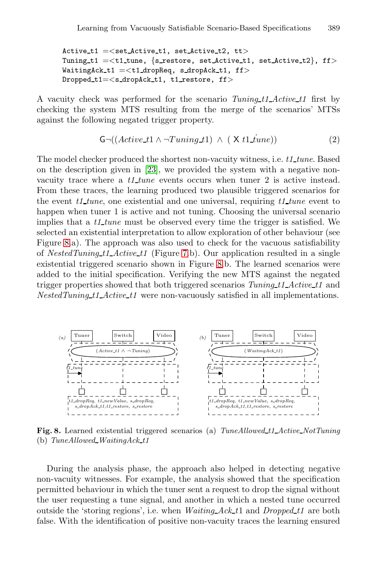```
Active t1 = \leqset Active t1, set Active t2, tt>Tuning t1 =<t1 tune, {s restore, set Active t1, set Active t2}, ff>
WaitingAck_t1 =<t1_dropReq, s_dropAck_t1, ff>
Dropped_t1=<s_dropAck_t1, t1_restore, ff>
```
A vacuity check was performed for the scenario *Tuning t1 Active t1* first by checking the system MTS resulting from the merge of the scenarios' MTSs against the following negated trigger property.

$$
G \neg((Active\_t1 \land \neg Tuning\_t1) \land (X \ t1\_time)) \tag{2}
$$

The model checker produced the shortest non-vacuity witness, i.e. *t1 tune*. Based on the description given in [\[23\]](#page-16-14), we provided the system with a negative nonvacuity trace where a *t1 tune* events occurs when tuner 2 is active instead. From these traces, the learning produced two plausible triggered scenarios for the event *t1 tune*, one existential and one universal, requiring *t1 tune* event to happen when tuner 1 is active and not tuning. Choosing the universal scenario implies that a *t1 tune* must be observed every time the trigger is satisfied. We selected an existential interpretation to allow exploration of other behaviour (see Figure [8.](#page-12-0)a). The approach was also used to check for the vacuous satisfiability of *NestedTuning t1 Active t1* (Figure [7.](#page-11-0)b). Our application resulted in a single existential triggered scenario shown in Figure [8.](#page-12-0)b. The learned scenarios were added to the initial specification. Verifying the new MTS against the negated trigger properties showed that both triggered scenarios *Tuning t1 Active t1* and *NestedTuning\_t1\_Active\_t1* were non-vacuously satisfied in all implementations.

<span id="page-12-0"></span>

**Fig. 8.** Learned existential triggered scenarios (a) *TuneAllowed t1 Active NotTuning* (b) *TuneAllowed WaitingAck t1*

During the analysis phase, the approach also helped in detecting negative non-vacuity witnesses. For example, the analysis showed that the specification permitted behaviour in which the tuner sent a request to drop the signal without the user requesting a tune signal, and another in which a nested tune occurred outside the 'storing regions', i.e. when *Waiting Ack t*1 and *Dropped t1* are both false. With the identification of positive non-vacuity traces the learning ensured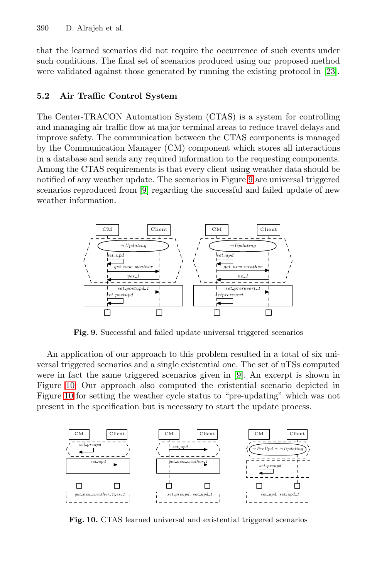that the learned scenarios did not require the occurrence of such events under such conditions. The final set of scenarios produced using our proposed method were validated against those generated by running the existing protocol in [\[23\]](#page-16-14).

## **5.2 Air Traffic Control System**

The Center-TRACON Automation System (CTAS) is a system for controlling and managing air traffic flow at major terminal areas to reduce travel delays and improve safety. The communication between the CTAS components is managed by the Communication Manager (CM) component which stores all interactions in a database and sends any required information to the requesting components. Among the CTAS requirements is that every client using weather data should be notified of any weather update. The scenarios in Figure [9](#page-13-0) are universal triggered scenarios reproduced from [\[9\]](#page-15-6) regarding the successful and failed update of new weather information.

<span id="page-13-0"></span>

<span id="page-13-1"></span>**Fig. 9.** Successful and failed update universal triggered scenarios

An application of our approach to this problem resulted in a total of six universal triggered scenarios and a single existential one. The set of uTSs computed were in fact the same triggered scenarios given in [\[9\]](#page-15-6). An excerpt is shown in Figure [10.](#page-13-1) Our approach also computed the existential scenario depicted in Figure [10](#page-13-1) for setting the weather cycle status to "pre-updating" which was not present in the specification but is necessary to start the update process.



**Fig. 10.** CTAS learned universal and existential triggered scenarios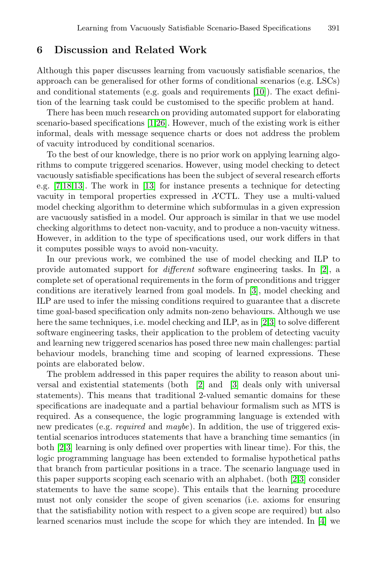### <span id="page-14-0"></span>**6 Discussion and Related Work**

Although this paper discusses learning from vacuously satisfiable scenarios, the approach can be generalised for other forms of conditional scenarios (e.g. LSCs) and conditional statements (e.g. goals and requirements [\[10\]](#page-15-1)). The exact definition of the learning task could be customised to the specific problem at hand.

There has been much research on providing automated support for elaborating scenario-based specifications [\[1](#page-15-0)[,26\]](#page-16-15). However, much of the existing work is either informal, deals with message sequence charts or does not address the problem of vacuity introduced by conditional scenarios.

To the best of our knowledge, there is no prior work on applying learning algorithms to compute triggered scenarios. However, using model checking to detect vacuously satisfiable specifications has been the subject of several research efforts e.g. [\[7,](#page-15-7)[18](#page-16-16)[,13\]](#page-16-5). The work in [\[13\]](#page-16-5) for instance presents a technique for detecting vacuity in temporal properties expressed in  $\mathcal{X}$ CTL. They use a multi-valued model checking algorithm to determine which subformulas in a given expression are vacuously satisfied in a model. Our approach is similar in that we use model checking algorithms to detect non-vacuity, and to produce a non-vacuity witness. However, in addition to the type of specifications used, our work differs in that it computes possible ways to avoid non-vacuity.

In our previous work, we combined the use of model checking and ILP to provide automated support for *different* software engineering tasks. In [\[2\]](#page-15-3), a complete set of operational requirements in the form of preconditions and trigger conditions are iteratively learned from goal models. In [\[3\]](#page-15-4), model checking and ILP are used to infer the missing conditions required to guarantee that a discrete time goal-based specification only admits non-zeno behaviours. Although we use here the same techniques, i.e. model checking and ILP, as in [\[2](#page-15-3)[,3\]](#page-15-4) to solve different software engineering tasks, their application to the problem of detecting vacuity and learning new triggered scenarios has posed three new main challenges: partial behaviour models, branching time and scoping of learned expressions. These points are elaborated below.

The problem addressed in this paper requires the ability to reason about universal and existential statements (both [\[2\]](#page-15-3) and [\[3\]](#page-15-4) deals only with universal statements). This means that traditional 2-valued semantic domains for these specifications are inadequate and a partial behaviour formalism such as MTS is required. As a consequence, the logic programming language is extended with new predicates (e.g. *required* and *maybe*). In addition, the use of triggered existential scenarios introduces statements that have a branching time semantics (in both [\[2](#page-15-3)[,3\]](#page-15-4) learning is only defined over properties with linear time). For this, the logic programming language has been extended to formalise hypothetical paths that branch from particular positions in a trace. The scenario language used in this paper supports scoping each scenario with an alphabet. (both [\[2,](#page-15-3)[3\]](#page-15-4) consider statements to have the same scope). This entails that the learning procedure must not only consider the scope of given scenarios (i.e. axioms for ensuring that the satisfiability notion with respect to a given scope are required) but also learned scenarios must include the scope for which they are intended. In [\[4\]](#page-15-5) we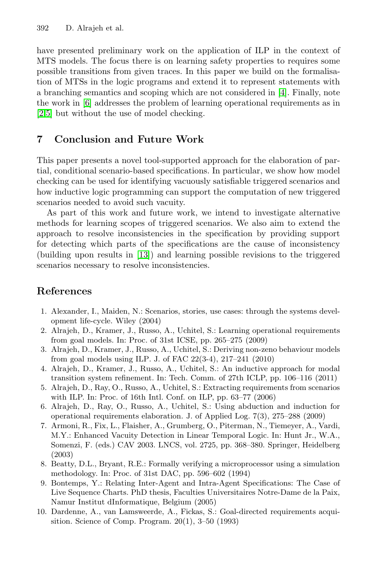have presented preliminary work on the application of ILP in the context of MTS models. The focus there is on learning safety properties to requires some possible transitions from given traces. In this paper we build on the formalisation of MTSs in the logic programs and extend it to represent statements with a branching semantics and scoping which are not considered in [\[4\]](#page-15-5). Finally, note the work in [\[6\]](#page-15-8) addresses the problem of learning operational requirements as in [\[2,](#page-15-3)[5\]](#page-15-9) but without the use of model checking.

## **7 Conclusion and Future Work**

This paper presents a novel tool-supported approach for the elaboration of partial, conditional scenario-based specifications. In particular, we show how model checking can be used for identifying vacuously satisfiable triggered scenarios and how inductive logic programming can support the computation of new triggered scenarios needed to avoid such vacuity.

<span id="page-15-3"></span><span id="page-15-0"></span>As part of this work and future work, we intend to investigate alternative methods for learning scopes of triggered scenarios. We also aim to extend the approach to resolve inconsistencies in the specification by providing support for detecting which parts of the specifications are the cause of inconsistency (building upon results in [\[13\]](#page-16-5)) and learning possible revisions to the triggered scenarios necessary to resolve inconsistencies.

## <span id="page-15-5"></span><span id="page-15-4"></span>**References**

- <span id="page-15-9"></span><span id="page-15-8"></span>1. Alexander, I., Maiden, N.: Scenarios, stories, use cases: through the systems development life-cycle. Wiley (2004)
- <span id="page-15-7"></span>2. Alrajeh, D., Kramer, J., Russo, A., Uchitel, S.: Learning operational requirements from goal models. In: Proc. of 31st ICSE, pp. 265–275 (2009)
- 3. Alrajeh, D., Kramer, J., Russo, A., Uchitel, S.: Deriving non-zeno behaviour models from goal models using ILP. J. of FAC 22(3-4), 217–241 (2010)
- <span id="page-15-2"></span>4. Alrajeh, D., Kramer, J., Russo, A., Uchitel, S.: An inductive approach for modal transition system refinement. In: Tech. Comm. of 27th ICLP, pp. 106–116 (2011)
- <span id="page-15-6"></span>5. Alrajeh, D., Ray, O., Russo, A., Uchitel, S.: Extracting requirements from scenarios with ILP. In: Proc. of 16th Intl. Conf. on ILP, pp. 63–77 (2006)
- 6. Alrajeh, D., Ray, O., Russo, A., Uchitel, S.: Using abduction and induction for operational requirements elaboration. J. of Applied Log. 7(3), 275–288 (2009)
- <span id="page-15-1"></span>7. Armoni, R., Fix, L., Flaisher, A., Grumberg, O., Piterman, N., Tiemeyer, A., Vardi, M.Y.: Enhanced Vacuity Detection in Linear Temporal Logic. In: Hunt Jr., W.A., Somenzi, F. (eds.) CAV 2003. LNCS, vol. 2725, pp. 368–380. Springer, Heidelberg (2003)
- 8. Beatty, D.L., Bryant, R.E.: Formally verifying a microprocessor using a simulation methodology. In: Proc. of 31st DAC, pp. 596–602 (1994)
- 9. Bontemps, Y.: Relating Inter-Agent and Intra-Agent Specifications: The Case of Live Sequence Charts. PhD thesis, Faculties Universitaires Notre-Dame de la Paix, Namur Institut dInformatique, Belgium (2005)
- 10. Dardenne, A., van Lamsweerde, A., Fickas, S.: Goal-directed requirements acquisition. Science of Comp. Program. 20(1), 3–50 (1993)